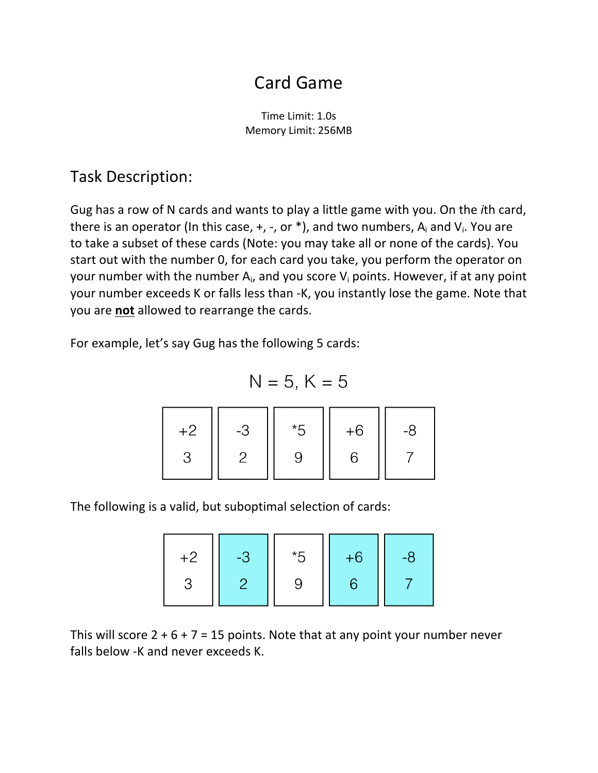# Card Game

Time Limit: 1.0s Memory Limit: 256MB

#### Task Description:

Gug has a row of N cards and wants to play a little game with you. On the *i*th card, there is an operator (In this case,  $+$ ,  $-$ , or  $*$ ), and two numbers,  $A_i$  and  $V_i$ . You are to take a subset of these cards (Note: you may take all or none of the cards). You start out with the number 0, for each card you take, you perform the operator on your number with the number  $A_i$ , and you score  $V_i$  points. However, if at any point your number exceeds K or falls less than -K, you instantly lose the game. Note that you are **not** allowed to rearrange the cards.

For example, let's say Gug has the following 5 cards:

$$
N = 5, K = 5
$$

| $+2$ | -3 | *5 | $+6$ | -8 |
|------|----|----|------|----|
|      |    |    |      |    |

The following is a valid, but suboptimal selection of cards:

$$
\begin{array}{|c|c|c|c|c|}\n\hline\n+2 & -3 & *5 & +6 & -8 \\
3 & 2 & 9 & 6 & 7\n\end{array}
$$

This will score  $2 + 6 + 7 = 15$  points. Note that at any point your number never falls below -K and never exceeds K.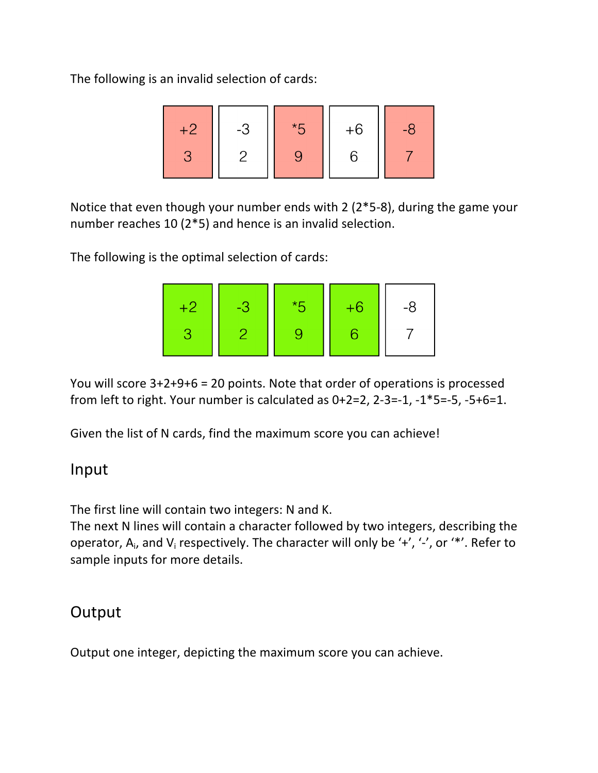The following is an invalid selection of cards:

Notice that even though your number ends with 2 ( $2*5-8$ ), during the game your number reaches 10 ( $2*5$ ) and hence is an invalid selection.

The following is the optimal selection of cards:

| 421 | 437 | $*5$ | $+6$ | -8 |
|-----|-----|------|------|----|
|     |     |      |      |    |

You will score  $3+2+9+6 = 20$  points. Note that order of operations is processed from left to right. Your number is calculated as  $0+2=2$ ,  $2-3=-1$ ,  $-1*5=-5$ ,  $-5+6=1$ .

Given the list of N cards, find the maximum score you can achieve!

#### Input

The first line will contain two integers: N and K.

The next N lines will contain a character followed by two integers, describing the operator,  $A_i$ , and  $V_i$  respectively. The character will only be '+', '-', or '\*'. Refer to sample inputs for more details.

#### **Output**

Output one integer, depicting the maximum score you can achieve.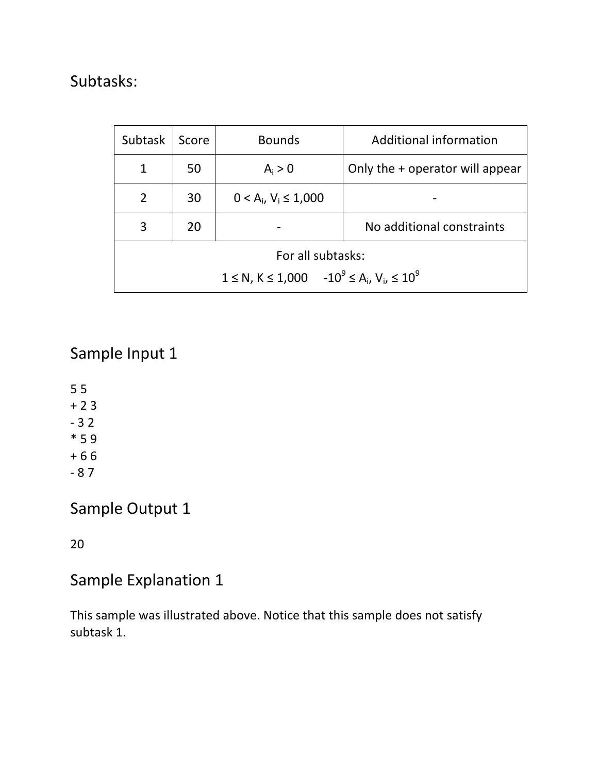## Subtasks:

| <b>Subtask</b>                                           | Score | <b>Bounds</b>               | Additional information          |  |  |
|----------------------------------------------------------|-------|-----------------------------|---------------------------------|--|--|
|                                                          | 50    | $A_i > 0$                   | Only the + operator will appear |  |  |
| $\overline{2}$                                           | 30    | $0 < A_i$ , $V_i \le 1,000$ |                                 |  |  |
| 3                                                        | 20    |                             | No additional constraints       |  |  |
| For all subtasks:                                        |       |                             |                                 |  |  |
| $1 \le N$ , $K \le 1,000 -10^9 \le A_i$ , $V_i \le 10^9$ |       |                             |                                 |  |  |

## Sample Input 1

5 5  $+23$  $-32$  $*59$  $+ 66$ - 8 7

## Sample Output 1

20

## Sample Explanation 1

This sample was illustrated above. Notice that this sample does not satisfy subtask 1.